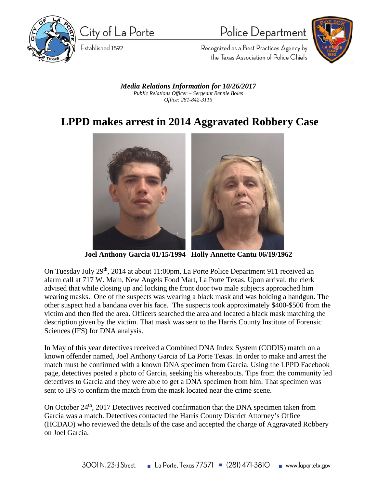

City of La Porte

Established 1892

Police Department



Recognized as a Best Practices Agency by the Texas Association of Police Chiefs

*Media Relations Information for 10/26/2017 Public Relations Officer – Sergeant Bennie Boles Office: 281-842-3115*

## **LPPD makes arrest in 2014 Aggravated Robbery Case**



**Joel Anthony Garcia 01/15/1994 Holly Annette Cantu 06/19/1962**

On Tuesday July 29th, 2014 at about 11:00pm, La Porte Police Department 911 received an alarm call at 717 W. Main, New Angels Food Mart, La Porte Texas. Upon arrival, the clerk advised that while closing up and locking the front door two male subjects approached him wearing masks. One of the suspects was wearing a black mask and was holding a handgun. The other suspect had a bandana over his face. The suspects took approximately \$400-\$500 from the victim and then fled the area. Officers searched the area and located a black mask matching the description given by the victim. That mask was sent to the Harris County Institute of Forensic Sciences (IFS) for DNA analysis.

In May of this year detectives received a Combined DNA Index System (CODIS) match on a known offender named, Joel Anthony Garcia of La Porte Texas. In order to make and arrest the match must be confirmed with a known DNA specimen from Garcia. Using the LPPD Facebook page, detectives posted a photo of Garcia, seeking his whereabouts. Tips from the community led detectives to Garcia and they were able to get a DNA specimen from him. That specimen was sent to IFS to confirm the match from the mask located near the crime scene.

On October 24<sup>th</sup>, 2017 Detectives received confirmation that the DNA specimen taken from Garcia was a match. Detectives contacted the Harris County District Attorney's Office (HCDAO) who reviewed the details of the case and accepted the charge of Aggravated Robbery on Joel Garcia.